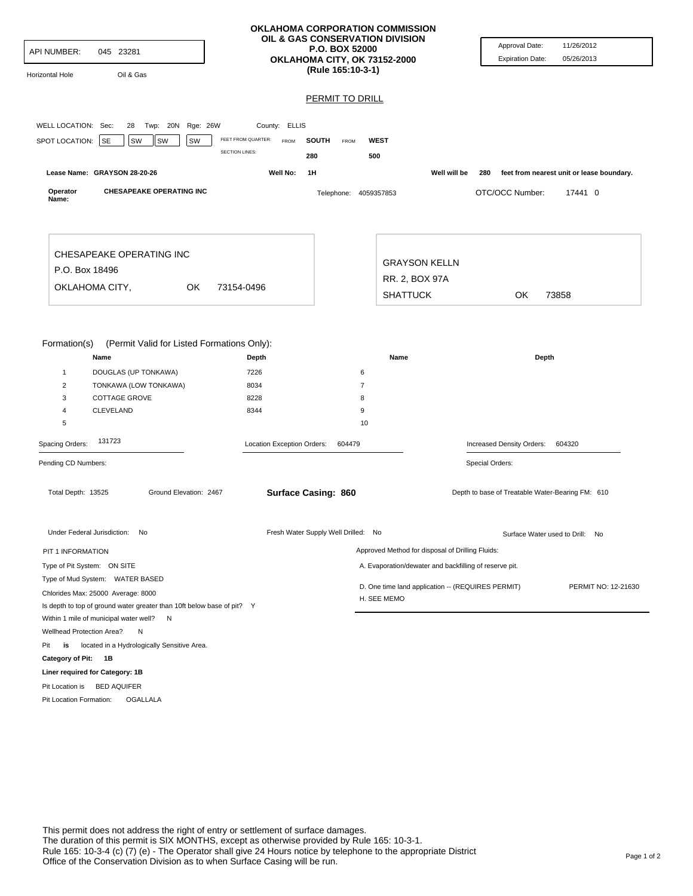| <b>API NUMBER:</b><br>Horizontal Hole                                                     | 045 23281<br>Oil & Gas                                                                                                                                        |                                                    | <b>OKLAHOMA CORPORATION COMMISSION</b><br>OIL & GAS CONSERVATION DIVISION<br><b>P.O. BOX 52000</b><br>OKLAHOMA CITY, OK 73152-2000<br>(Rule 165:10-3-1) |                                                  | Approval Date:<br><b>Expiration Date:</b>                           | 11/26/2012<br>05/26/2013                  |
|-------------------------------------------------------------------------------------------|---------------------------------------------------------------------------------------------------------------------------------------------------------------|----------------------------------------------------|---------------------------------------------------------------------------------------------------------------------------------------------------------|--------------------------------------------------|---------------------------------------------------------------------|-------------------------------------------|
|                                                                                           |                                                                                                                                                               |                                                    | <b>PERMIT TO DRILL</b>                                                                                                                                  |                                                  |                                                                     |                                           |
| WELL LOCATION: Sec:<br>SPOT LOCATION:                                                     | 28 Twp: 20N Rge: 26W<br>SW<br>SW<br><b>SE</b><br>SW                                                                                                           | County: ELLIS<br>FEET FROM QUARTER:<br><b>FROM</b> | <b>SOUTH</b><br>FROM                                                                                                                                    | <b>WEST</b>                                      |                                                                     |                                           |
|                                                                                           |                                                                                                                                                               | <b>SECTION LINES:</b><br>280                       | 500                                                                                                                                                     |                                                  |                                                                     |                                           |
|                                                                                           | Lease Name: GRAYSON 28-20-26                                                                                                                                  | Well No:<br>1H                                     |                                                                                                                                                         |                                                  | Well will be<br>280                                                 | feet from nearest unit or lease boundary. |
| Operator<br>Name:                                                                         | <b>CHESAPEAKE OPERATING INC</b>                                                                                                                               |                                                    | Telephone: 4059357853                                                                                                                                   |                                                  | OTC/OCC Number:                                                     | 17441 0                                   |
| P.O. Box 18496                                                                            | CHESAPEAKE OPERATING INC                                                                                                                                      |                                                    |                                                                                                                                                         | <b>GRAYSON KELLN</b>                             |                                                                     |                                           |
| OKLAHOMA CITY,<br>OK<br>73154-0496                                                        |                                                                                                                                                               |                                                    |                                                                                                                                                         | RR. 2, BOX 97A                                   |                                                                     |                                           |
|                                                                                           |                                                                                                                                                               |                                                    |                                                                                                                                                         | <b>SHATTUCK</b>                                  | OK.                                                                 | 73858                                     |
| Formation(s)<br>$\mathbf{1}$<br>$\overline{2}$<br>3<br>4<br>5                             | (Permit Valid for Listed Formations Only):<br>Name<br>DOUGLAS (UP TONKAWA)<br>TONKAWA (LOW TONKAWA)<br><b>COTTAGE GROVE</b><br>CLEVELAND                      | Depth<br>7226<br>8034<br>8228<br>8344              | 6<br>$\overline{7}$<br>8<br>9<br>10                                                                                                                     | Name                                             | Depth                                                               |                                           |
| Spacing Orders:                                                                           | 131723                                                                                                                                                        | Location Exception Orders:                         | 604479                                                                                                                                                  | Increased Density Orders:<br>604320              |                                                                     |                                           |
| Pending CD Numbers:<br>Total Depth: 13525                                                 | Ground Elevation: 2467                                                                                                                                        | Surface Casing: 860                                |                                                                                                                                                         |                                                  | Special Orders:<br>Depth to base of Treatable Water-Bearing FM: 610 |                                           |
|                                                                                           | Fresh Water Supply Well Drilled: No<br>Under Federal Jurisdiction: No                                                                                         |                                                    |                                                                                                                                                         |                                                  |                                                                     | Surface Water used to Drill: No           |
|                                                                                           | PIT 1 INFORMATION                                                                                                                                             |                                                    |                                                                                                                                                         | Approved Method for disposal of Drilling Fluids: |                                                                     |                                           |
| Type of Pit System: ON SITE<br>Type of Mud System: WATER BASED                            |                                                                                                                                                               |                                                    |                                                                                                                                                         |                                                  | A. Evaporation/dewater and backfilling of reserve pit.              |                                           |
| Wellhead Protection Area?                                                                 | Chlorides Max: 25000 Average: 8000<br>Is depth to top of ground water greater than 10ft below base of pit? Y<br>Within 1 mile of municipal water well? N<br>Ν |                                                    | D. One time land application -- (REQUIRES PERMIT)<br>PERMIT NO: 12-21630<br>H. SEE MEMO                                                                 |                                                  |                                                                     |                                           |
| Pit<br>is                                                                                 | located in a Hydrologically Sensitive Area.                                                                                                                   |                                                    |                                                                                                                                                         |                                                  |                                                                     |                                           |
| Category of Pit: 1B                                                                       |                                                                                                                                                               |                                                    |                                                                                                                                                         |                                                  |                                                                     |                                           |
| Liner required for Category: 1B<br>Pit Location is BED AQUIFER<br>Pit Location Formation: | <b>OGALLALA</b>                                                                                                                                               |                                                    |                                                                                                                                                         |                                                  |                                                                     |                                           |